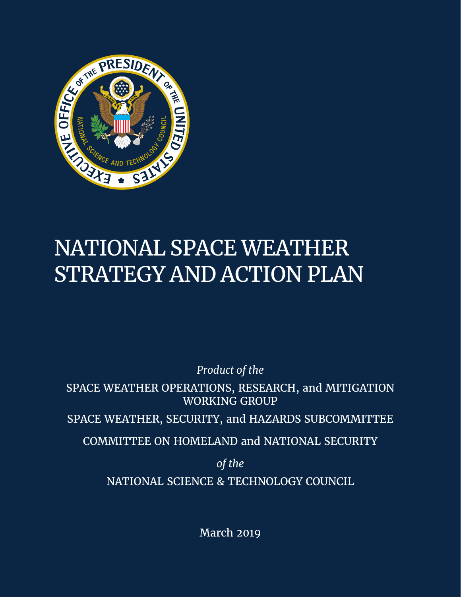

# NATIONAL SPACE WEATHER STRATEGY AND ACTION PLAN

 *Product of the* 

SPACE WEATHER OPERATIONS, RESEARCH, and MITIGATION WORKING GROUP

SPACE WEATHER, SECURITY, and HAZARDS SUBCOMMITTEE

COMMITTEE ON HOMELAND and NATIONAL SECURITY

*of the*  NATIONAL SCIENCE & TECHNOLOGY COUNCIL

March 2019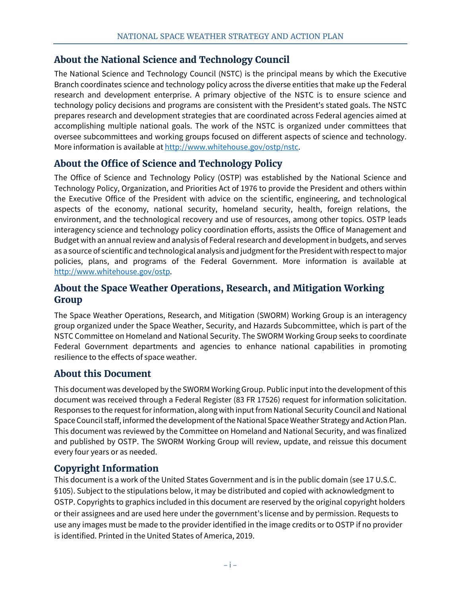# **About the National Science and Technology Council**

The National Science and Technology Council (NSTC) is the principal means by which the Executive Branch coordinates science and technology policy across the diverse entities that make up the Federal research and development enterprise. A primary objective of the NSTC is to ensure science and technology policy decisions and programs are consistent with the President's stated goals. The NSTC prepares research and development strategies that are coordinated across Federal agencies aimed at accomplishing multiple national goals. The work of the NSTC is organized under committees that oversee subcommittees and working groups focused on different aspects of science and technology. More information is available at [http://www.whitehouse.gov/ostp/nstc.](http://www.whitehouse.gov/ostp/nstc)

# **About the Office of Science and Technology Policy**

 aspects of the economy, national security, homeland security, health, foreign relations, the The Office of Science and Technology Policy (OSTP) was established by the National Science and Technology Policy, Organization, and Priorities Act of 1976 to provide the President and others within the Executive Office of the President with advice on the scientific, engineering, and technological environment, and the technological recovery and use of resources, among other topics. OSTP leads interagency science and technology policy coordination efforts, assists the Office of Management and Budget with an annual review and analysis of Federal research and development in budgets, and serves as a source of scientific and technological analysis and judgment for the President with respect to major policies, plans, and programs of the Federal Government. More information is available at [http://www.whitehouse.gov/ostp.](http://www.whitehouse.gov/ostp)

# **About the Space Weather Operations, Research, and Mitigation Working Group**

The Space Weather Operations, Research, and Mitigation (SWORM) Working Group is an interagency group organized under the Space Weather, Security, and Hazards Subcommittee, which is part of the NSTC Committee on Homeland and National Security. The SWORM Working Group seeks to coordinate Federal Government departments and agencies to enhance national capabilities in promoting resilience to the effects of space weather.

# **About this Document**

This document was developed by the SWORM Working Group. Public input into the development of this document was received through a Federal Register (83 FR 17526) request for information solicitation. Responses to the request for information, along with input from National Security Council and National Space Council staff, informed the development of the National Space Weather Strategy and Action Plan. This document was reviewed by the Committee on Homeland and National Security, and was finalized and published by OSTP. The SWORM Working Group will review, update, and reissue this document every four years or as needed.

# **Copyright Information**

This document is a work of the United States Government and is in the public domain (see 17 U.S.C. §105). Subject to the stipulations below, it may be distributed and copied with acknowledgment to OSTP. Copyrights to graphics included in this document are reserved by the original copyright holders or their assignees and are used here under the government's license and by permission. Requests to use any images must be made to the provider identified in the image credits or to OSTP if no provider is identified. Printed in the United States of America, 2019.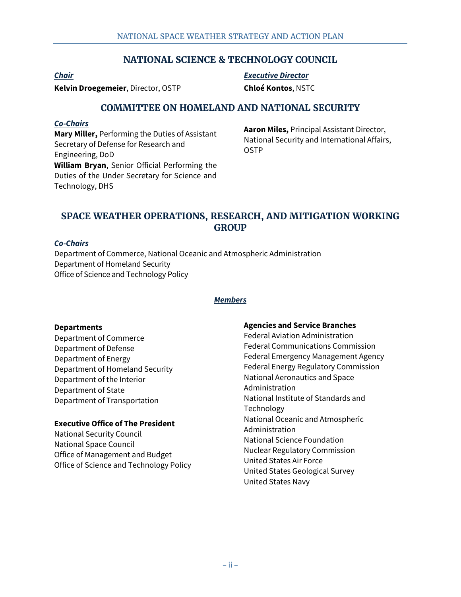## **NATIONAL SCIENCE & TECHNOLOGY COUNCIL**

**Kelvin Droegemeier**, Director, OSTP **Chloé Kontos**, NSTC

*Chair Executive Director* 

## **COMMITTEE ON HOMELAND AND NATIONAL SECURITY**

### *Co-Chairs*

**Aaron Miles, Principal Assistant Director,**<br> **Aaron Miles, Principal Assistant Director,**<br>
Secretary of Defense for Research and **COSTP** COSTP Engineering, DoD **William Bryan**, Senior Official Performing the Duties of the Under Secretary for Science and Technology, DHS

## **SPACE WEATHER OPERATIONS, RESEARCH, AND MITIGATION WORKING GROUP**

#### *Co-Chairs*

Department of Commerce, National Oceanic and Atmospheric Administration Department of Homeland Security Office of Science and Technology Policy

#### *Members*

#### **Departments**

Department of Commerce Department of Defense Department of Energy Department of Homeland Security Department of the Interior Department of State Department of Transportation

### **Executive Office of The President**

National Security Council National Space Council Office of Management and Budget Office of Science and Technology Policy

#### **Agencies and Service Branches**

 National Aeronautics and Space Federal Aviation Administration Federal Communications Commission Federal Emergency Management Agency Federal Energy Regulatory Commission Administration National Institute of Standards and Technology National Oceanic and Atmospheric Administration National Science Foundation Nuclear Regulatory Commission United States Air Force United States Geological Survey United States Navy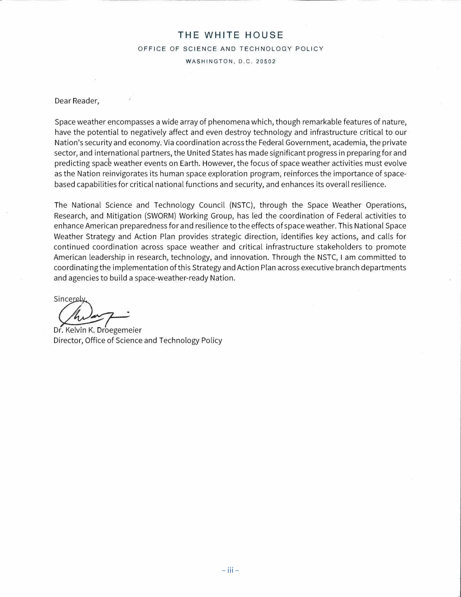#### **THE WHITE HOUSE**

OFFICE OF SCIENCE AND TECHNOLOGY POLICY

WASHINGTON, D.C. 20502

Dear Reader,

Space weather encompasses a wide array of phenomena which, though remarkable features of nature, have the potential to negatively affect and even destroy technology and infrastructure critical to our Nation's security and economy. Via coordination across the Federal Government, academia, the private sector, and international partners, the United States has made significant progress in preparing for and predicting spac� weather events on Earth. However, the focus of space weather activities must evolve as the Nation reinvigorates its human space exploration program, reinforces the importance of spacebased capabilities for critical national functions and security, and enhances its overall resilience.

The National Science and Technology Council (NSTC), through the Space Weather Operations, Research, and Mitigation (SWORM) Working Group, has led the coordination of Federal activities to enhance American preparedness for and resilience to the effects of space weather. This National Space Weather Strategy and Action Plan provides strategic direction, identifies key actions, and calls for continued coordination across space weather and critical infrastructure stakeholders to promote American leadership in research, technology, and innovation. Through the NSTC, I am committed to coordinating the implementation of this Strategy and Action Plan across executive branch departments and agencies to build a space-weather-ready Nation.

Sincerely

Dr. Kelvin K. Droegemejer Director, Office of Science and Technology Policy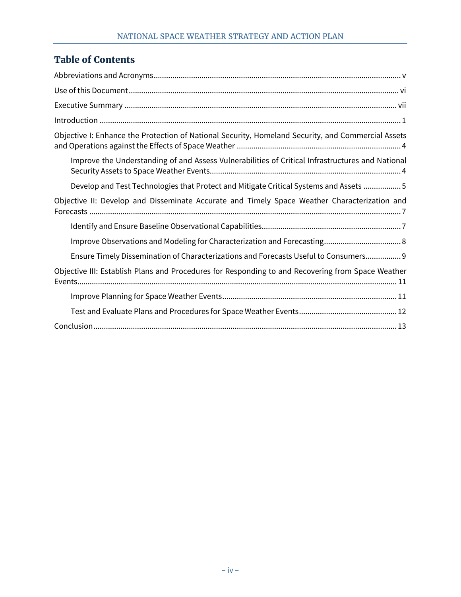# **Table of Contents**

| Objective I: Enhance the Protection of National Security, Homeland Security, and Commercial Assets |
|----------------------------------------------------------------------------------------------------|
| Improve the Understanding of and Assess Vulnerabilities of Critical Infrastructures and National   |
| Develop and Test Technologies that Protect and Mitigate Critical Systems and Assets 5              |
| Objective II: Develop and Disseminate Accurate and Timely Space Weather Characterization and       |
|                                                                                                    |
|                                                                                                    |
| Ensure Timely Dissemination of Characterizations and Forecasts Useful to Consumers 9               |
| Objective III: Establish Plans and Procedures for Responding to and Recovering from Space Weather  |
|                                                                                                    |
|                                                                                                    |
|                                                                                                    |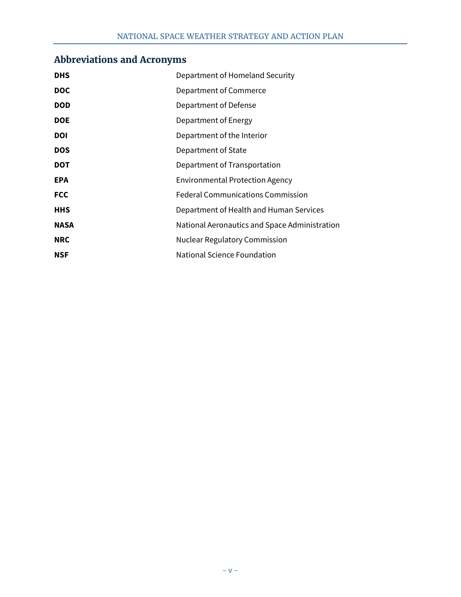## <span id="page-5-0"></span> **Abbreviations and Acronyms**

| <b>DHS</b>  | Department of Homeland Security               |
|-------------|-----------------------------------------------|
| <b>DOC</b>  | Department of Commerce                        |
| <b>DOD</b>  | Department of Defense                         |
| <b>DOE</b>  | Department of Energy                          |
| <b>DOI</b>  | Department of the Interior                    |
| <b>DOS</b>  | Department of State                           |
| <b>DOT</b>  | Department of Transportation                  |
| <b>EPA</b>  | Environmental Protection Agency               |
| <b>FCC</b>  | <b>Federal Communications Commission</b>      |
| <b>HHS</b>  | Department of Health and Human Services       |
| <b>NASA</b> | National Aeronautics and Space Administration |
| <b>NRC</b>  | <b>Nuclear Regulatory Commission</b>          |
| <b>NSF</b>  | National Science Foundation                   |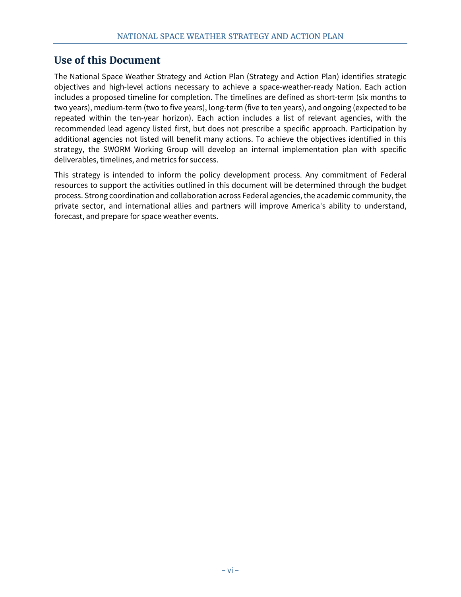# <span id="page-6-0"></span> **Use of this Document**

 The National Space Weather Strategy and Action Plan (Strategy and Action Plan) identifies strategic additional agencies not listed will benefit many actions. To achieve the objectives identified in this objectives and high-level actions necessary to achieve a space-weather-ready Nation. Each action includes a proposed timeline for completion. The timelines are defined as short-term (six months to two years), medium-term (two to five years), long-term (five to ten years), and ongoing (expected to be repeated within the ten-year horizon). Each action includes a list of relevant agencies, with the recommended lead agency listed first, but does not prescribe a specific approach. Participation by strategy, the SWORM Working Group will develop an internal implementation plan with specific deliverables, timelines, and metrics for success.

This strategy is intended to inform the policy development process. Any commitment of Federal resources to support the activities outlined in this document will be determined through the budget process. Strong coordination and collaboration across Federal agencies, the academic community, the private sector, and international allies and partners will improve America's ability to understand, forecast, and prepare for space weather events.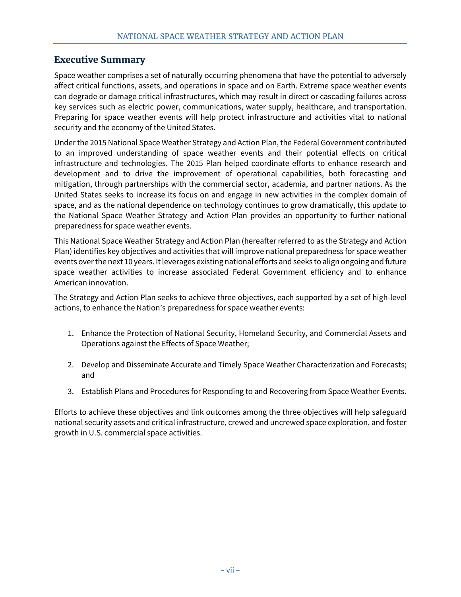## <span id="page-7-0"></span> **Executive Summary**

 can degrade or damage critical infrastructures, which may result in direct or cascading failures across security and the economy of the United States. Space weather comprises a set of naturally occurring phenomena that have the potential to adversely affect critical functions, assets, and operations in space and on Earth. Extreme space weather events key services such as electric power, communications, water supply, healthcare, and transportation. Preparing for space weather events will help protect infrastructure and activities vital to national

Under the 2015 National Space Weather Strategy and Action Plan, the Federal Government contributed to an improved understanding of space weather events and their potential effects on critical infrastructure and technologies. The 2015 Plan helped coordinate efforts to enhance research and development and to drive the improvement of operational capabilities, both forecasting and mitigation, through partnerships with the commercial sector, academia, and partner nations. As the United States seeks to increase its focus on and engage in new activities in the complex domain of space, and as the national dependence on technology continues to grow dramatically, this update to the National Space Weather Strategy and Action Plan provides an opportunity to further national preparedness for space weather events.

This National Space Weather Strategy and Action Plan (hereafter referred to as the Strategy and Action Plan) identifies key objectives and activities that will improve national preparedness for space weather events over the next 10 years. It leverages existing national efforts and seeks to align ongoing and future space weather activities to increase associated Federal Government efficiency and to enhance American innovation.

The Strategy and Action Plan seeks to achieve three objectives, each supported by a set of high-level actions, to enhance the Nation's preparedness for space weather events:

- 1. Enhance the Protection of National Security, Homeland Security, and Commercial Assets and Operations against the Effects of Space Weather;
- 2. Develop and Disseminate Accurate and Timely Space Weather Characterization and Forecasts; and
- 3. Establish Plans and Procedures for Responding to and Recovering from Space Weather Events.

Efforts to achieve these objectives and link outcomes among the three objectives will help safeguard national security assets and critical infrastructure, crewed and uncrewed space exploration, and foster growth in U.S. commercial space activities.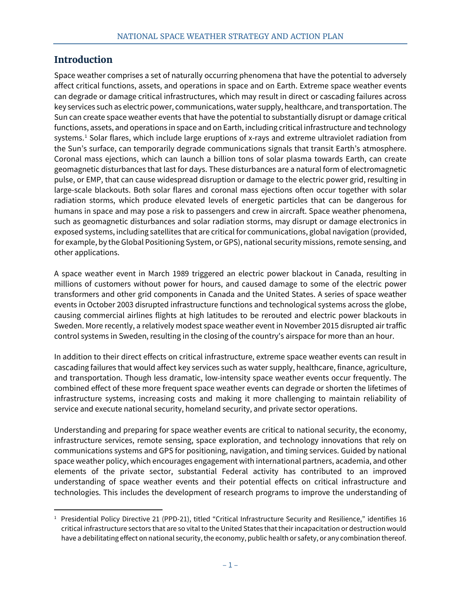## <span id="page-8-0"></span>**Introduction**

 $\overline{a}$ 

 can degrade or damage critical infrastructures, which may result in direct or cascading failures across systems. [1](#page-8-1) Solar flares, which include large eruptions of x-rays and extreme ultraviolet radiation from large-scale blackouts. Both solar flares and coronal mass ejections often occur together with solar Space weather comprises a set of naturally occurring phenomena that have the potential to adversely affect critical functions, assets, and operations in space and on Earth. Extreme space weather events key services such as electric power, communications, water supply, healthcare, and transportation. The Sun can create space weather events that have the potential to substantially disrupt or damage critical functions, assets, and operations in space and on Earth, including critical infrastructure and technology the Sun's surface, can temporarily degrade communications signals that transit Earth's atmosphere. Coronal mass ejections, which can launch a billion tons of solar plasma towards Earth, can create geomagnetic disturbances that last for days. These disturbances are a natural form of electromagnetic pulse, or EMP, that can cause widespread disruption or damage to the electric power grid, resulting in radiation storms, which produce elevated levels of energetic particles that can be dangerous for humans in space and may pose a risk to passengers and crew in aircraft. Space weather phenomena, such as geomagnetic disturbances and solar radiation storms, may disrupt or damage electronics in exposed systems, including satellites that are critical for communications, global navigation (provided, for example, by the Global Positioning System, or GPS), national security missions, remote sensing, and other applications.

A space weather event in March 1989 triggered an electric power blackout in Canada, resulting in millions of customers without power for hours, and caused damage to some of the electric power transformers and other grid components in Canada and the United States. A series of space weather events in October 2003 disrupted infrastructure functions and technological systems across the globe, causing commercial airlines flights at high latitudes to be rerouted and electric power blackouts in Sweden. More recently, a relatively modest space weather event in November 2015 disrupted air traffic control systems in Sweden, resulting in the closing of the country's airspace for more than an hour.

 cascading failures that would affect key services such as water supply, healthcare, finance, agriculture, In addition to their direct effects on critical infrastructure, extreme space weather events can result in and transportation. Though less dramatic, low-intensity space weather events occur frequently. The combined effect of these more frequent space weather events can degrade or shorten the lifetimes of infrastructure systems, increasing costs and making it more challenging to maintain reliability of service and execute national security, homeland security, and private sector operations.

 communications systems and GPS for positioning, navigation, and timing services. Guided by national Understanding and preparing for space weather events are critical to national security, the economy, infrastructure services, remote sensing, space exploration, and technology innovations that rely on space weather policy, which encourages engagement with international partners, academia, and other elements of the private sector, substantial Federal activity has contributed to an improved understanding of space weather events and their potential effects on critical infrastructure and technologies. This includes the development of research programs to improve the understanding of

<span id="page-8-1"></span> critical infrastructure sectors that are so vital to the United States that their incapacitation or destruction would <sup>1</sup> Presidential Policy Directive 21 (PPD-21), titled "Critical Infrastructure Security and Resilience," identifies 16 have a debilitating effect on national security, the economy, public health or safety, or any combination thereof.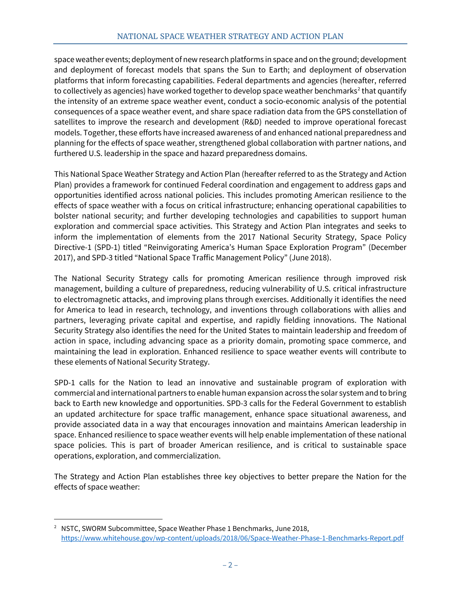space weather events; deployment of new research platforms in space and on the ground; development and deployment of forecast models that spans the Sun to Earth; and deployment of observation platforms that inform forecasting capabilities. Federal departments and agencies (hereafter, referred to collectively as agencies) have worked together to develop space weather benchmarks<sup>2</sup> that quantify the intensity of an extreme space weather event, conduct a socio-economic analysis of the potential consequences of a space weather event, and share space radiation data from the GPS constellation of satellites to improve the research and development (R&D) needed to improve operational forecast models. Together, these efforts have increased awareness of and enhanced national preparedness and planning for the effects of space weather, strengthened global collaboration with partner nations, and furthered U.S. leadership in the space and hazard preparedness domains.

This National Space Weather Strategy and Action Plan (hereafter referred to as the Strategy and Action Plan) provides a framework for continued Federal coordination and engagement to address gaps and opportunities identified across national policies. This includes promoting American resilience to the effects of space weather with a focus on critical infrastructure; enhancing operational capabilities to bolster national security; and further developing technologies and capabilities to support human exploration and commercial space activities. This Strategy and Action Plan integrates and seeks to inform the implementation of elements from the 2017 National Security Strategy, Space Policy Directive-1 (SPD-1) titled "Reinvigorating America's Human Space Exploration Program" (December 2017), and SPD-3 titled "National Space Traffic Management Policy" (June 2018).

The National Security Strategy calls for promoting American resilience through improved risk management, building a culture of preparedness, reducing vulnerability of U.S. critical infrastructure to electromagnetic attacks, and improving plans through exercises. Additionally it identifies the need for America to lead in research, technology, and inventions through collaborations with allies and partners, leveraging private capital and expertise, and rapidly fielding innovations. The National Security Strategy also identifies the need for the United States to maintain leadership and freedom of action in space, including advancing space as a priority domain, promoting space commerce, and maintaining the lead in exploration. Enhanced resilience to space weather events will contribute to these elements of National Security Strategy.

 an updated architecture for space traffic management, enhance space situational awareness, and provide associated data in a way that encourages innovation and maintains American leadership in operations, exploration, and commercialization. SPD-1 calls for the Nation to lead an innovative and sustainable program of exploration with commercial and international partners to enable human expansion across the solar system and to bring back to Earth new knowledge and opportunities. SPD-3 calls for the Federal Government to establish space. Enhanced resilience to space weather events will help enable implementation of these national space policies. This is part of broader American resilience, and is critical to sustainable space

The Strategy and Action Plan establishes three key objectives to better prepare the Nation for the effects of space weather:

<span id="page-9-0"></span><sup>&</sup>lt;sup>2</sup> NSTC, SWORM Subcommittee, Space Weather Phase 1 Benchmarks, June 2018, <https://www.whitehouse.gov/wp-content/uploads/2018/06/Space-Weather-Phase-1-Benchmarks-Report.pdf>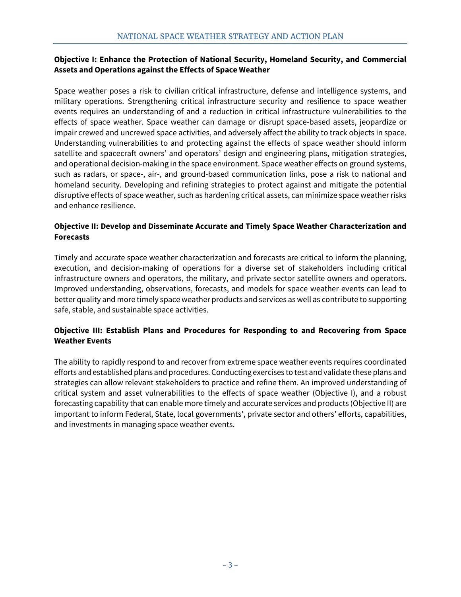### **Objective I: Enhance the Protection of National Security, Homeland Security, and Commercial Assets and Operations against the Effects of Space Weather**

Space weather poses a risk to civilian critical infrastructure, defense and intelligence systems, and military operations. Strengthening critical infrastructure security and resilience to space weather events requires an understanding of and a reduction in critical infrastructure vulnerabilities to the effects of space weather. Space weather can damage or disrupt space-based assets, jeopardize or impair crewed and uncrewed space activities, and adversely affect the ability to track objects in space. Understanding vulnerabilities to and protecting against the effects of space weather should inform satellite and spacecraft owners' and operators' design and engineering plans, mitigation strategies, and operational decision-making in the space environment. Space weather effects on ground systems, such as radars, or space-, air-, and ground-based communication links, pose a risk to national and homeland security. Developing and refining strategies to protect against and mitigate the potential disruptive effects of space weather, such as hardening critical assets, can minimize space weather risks and enhance resilience.

## **Objective II: Develop and Disseminate Accurate and Timely Space Weather Characterization and Forecasts**

 Improved understanding, observations, forecasts, and models for space weather events can lead to better quality and more timely space weather products and services as well as contribute to supporting Timely and accurate space weather characterization and forecasts are critical to inform the planning, execution, and decision-making of operations for a diverse set of stakeholders including critical infrastructure owners and operators, the military, and private sector satellite owners and operators. safe, stable, and sustainable space activities.

### **Objective III: Establish Plans and Procedures for Responding to and Recovering from Space Weather Events**

The ability to rapidly respond to and recover from extreme space weather events requires coordinated efforts and established plans and procedures. Conducting exercises to test and validate these plans and strategies can allow relevant stakeholders to practice and refine them. An improved understanding of critical system and asset vulnerabilities to the effects of space weather (Objective I), and a robust forecasting capability that can enable more timely and accurate services and products (Objective II) are important to inform Federal, State, local governments', private sector and others' efforts, capabilities, and investments in managing space weather events.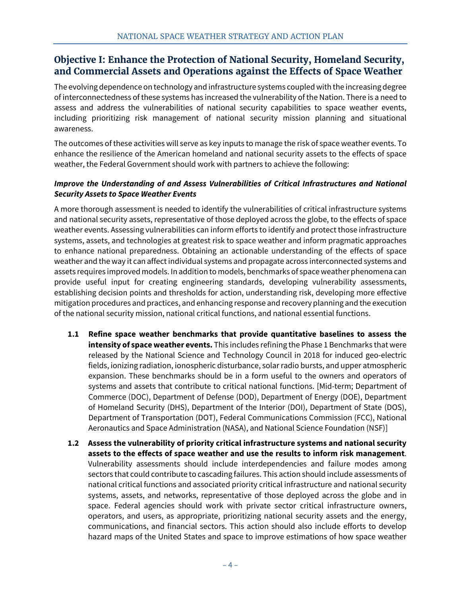# <span id="page-11-0"></span> **Objective I: Enhance the Protection of National Security, Homeland Security, and Commercial Assets and Operations against the Effects of Space Weather**

 including prioritizing risk management of national security mission planning and situational The evolving dependence on technology and infrastructure systems coupled with the increasing degree of interconnectedness of these systems has increased the vulnerability of the Nation. There is a need to assess and address the vulnerabilities of national security capabilities to space weather events, awareness.

 weather, the Federal Government should work with partners to achieve the following: The outcomes of these activities will serve as key inputs to manage the risk of space weather events. To enhance the resilience of the American homeland and national security assets to the effects of space

## <span id="page-11-1"></span>*Improve the Understanding of and Assess Vulnerabilities of Critical Infrastructures and National Security Assets to Space Weather Events*

 weather events. Assessing vulnerabilities can inform efforts to identify and protect those infrastructure to enhance national preparedness. Obtaining an actionable understanding of the effects of space of the national security mission, national critical functions, and national essential functions. A more thorough assessment is needed to identify the vulnerabilities of critical infrastructure systems and national security assets, representative of those deployed across the globe, to the effects of space systems, assets, and technologies at greatest risk to space weather and inform pragmatic approaches weather and the way it can affect individual systems and propagate across interconnected systems and assets requires improved models. In addition to models, benchmarks of space weather phenomena can provide useful input for creating engineering standards, developing vulnerability assessments, establishing decision points and thresholds for action, understanding risk, developing more effective mitigation procedures and practices, and enhancing response and recovery planning and the execution

- **1.1 Refine space weather benchmarks that provide quantitative baselines to assess the**  expansion. These benchmarks should be in a form useful to the owners and operators of **intensity of space weather events.** This includes refining the Phase 1 Benchmarks that were released by the National Science and Technology Council in 2018 for induced geo-electric fields, ionizing radiation, ionospheric disturbance, solar radio bursts, and upper atmospheric systems and assets that contribute to critical national functions. [Mid-term; Department of Commerce (DOC), Department of Defense (DOD), Department of Energy (DOE), Department of Homeland Security (DHS), Department of the Interior (DOI), Department of State (DOS), Department of Transportation (DOT), Federal Communications Commission (FCC), National Aeronautics and Space Administration (NASA), and National Science Foundation (NSF)]
- **1.2 Assess the vulnerability of priority critical infrastructure systems and national security assets to the effects of space weather and use the results to inform risk management**. Vulnerability assessments should include interdependencies and failure modes among sectors that could contribute to cascading failures. This action should include assessments of national critical functions and associated priority critical infrastructure and national security systems, assets, and networks, representative of those deployed across the globe and in space. Federal agencies should work with private sector critical infrastructure owners, operators, and users, as appropriate, prioritizing national security assets and the energy, communications, and financial sectors. This action should also include efforts to develop hazard maps of the United States and space to improve estimations of how space weather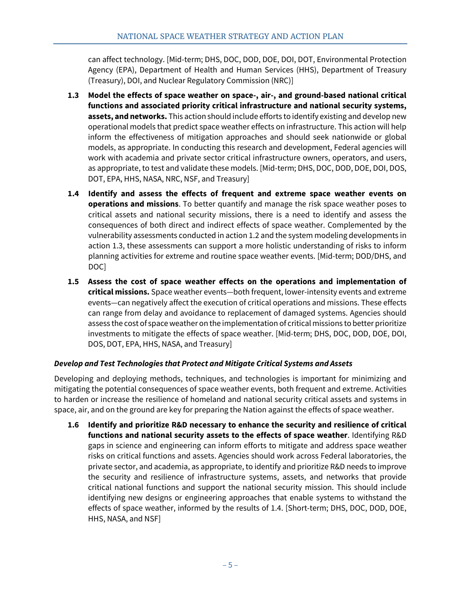can affect technology. [Mid-term; DHS, DOC, DOD, DOE, DOI, DOT, Environmental Protection Agency (EPA), Department of Health and Human Services (HHS), Department of Treasury (Treasury), DOI, and Nuclear Regulatory Commission (NRC)]

- **assets, and networks.** This action should include efforts to identify existing and develop new inform the effectiveness of mitigation approaches and should seek nationwide or global as appropriate, to test and validate these models. [Mid-term; DHS, DOC, DOD, DOE, DOI, DOS, **1.3 Model the effects of space weather on space-, air-, and ground-based national critical functions and associated priority critical infrastructure and national security systems,**  operational models that predict space weather effects on infrastructure. This action will help models, as appropriate. In conducting this research and development, Federal agencies will work with academia and private sector critical infrastructure owners, operators, and users, DOT, EPA, HHS, NASA, NRC, NSF, and Treasury]
- **1.4 Identify and assess the effects of frequent and extreme space weather events on operations and missions**. To better quantify and manage the risk space weather poses to critical assets and national security missions, there is a need to identify and assess the consequences of both direct and indirect effects of space weather. Complemented by the vulnerability assessments conducted in action 1.2 and the system modeling developments in action 1.3, these assessments can support a more holistic understanding of risks to inform planning activities for extreme and routine space weather events. [Mid-term; DOD/DHS, and DOC]
- **1.5 Assess the cost of space weather effects on the operations and implementation of critical missions.** Space weather events—both frequent, lower-intensity events and extreme events—can negatively affect the execution of critical operations and missions. These effects can range from delay and avoidance to replacement of damaged systems. Agencies should assess the cost of space weather on the implementation of critical missions to better prioritize investments to mitigate the effects of space weather. [Mid-term; DHS, DOC, DOD, DOE, DOI, DOS, DOT, EPA, HHS, NASA, and Treasury]

## <span id="page-12-0"></span>*Develop and Test Technologies that Protect and Mitigate Critical Systems and Assets*

 Developing and deploying methods, techniques, and technologies is important for minimizing and mitigating the potential consequences of space weather events, both frequent and extreme. Activities to harden or increase the resilience of homeland and national security critical assets and systems in space, air, and on the ground are key for preparing the Nation against the effects of space weather.

**1.6 Identify and prioritize R&D necessary to enhance the security and resilience of critical functions and national security assets to the effects of space weather**. Identifying R&D gaps in science and engineering can inform efforts to mitigate and address space weather risks on critical functions and assets. Agencies should work across Federal laboratories, the private sector, and academia, as appropriate, to identify and prioritize R&D needs to improve the security and resilience of infrastructure systems, assets, and networks that provide critical national functions and support the national security mission. This should include identifying new designs or engineering approaches that enable systems to withstand the effects of space weather, informed by the results of 1.4. [Short-term; DHS, DOC, DOD, DOE, HHS, NASA, and NSF]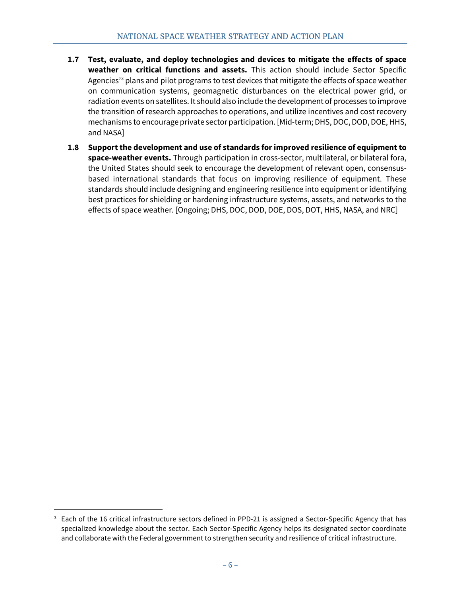- on communication systems, geomagnetic disturbances on the electrical power grid, or **1.7 Test, evaluate, and deploy technologies and devices to mitigate the effects of space weather on critical functions and assets.** This action should include Sector Specific Agencies<sup>'[3](#page-13-0)</sup> plans and pilot programs to test devices that mitigate the effects of space weather radiation events on satellites. It should also include the development of processes to improve the transition of research approaches to operations, and utilize incentives and cost recovery mechanisms to encourage private sector participation. [Mid-term; DHS, DOC, DOD, DOE, HHS, and NASA]
- **1.8 Support the development and use of standards for improved resilience of equipment to space-weather events.** Through participation in cross-sector, multilateral, or bilateral fora, the United States should seek to encourage the development of relevant open, consensusbased international standards that focus on improving resilience of equipment. These standards should include designing and engineering resilience into equipment or identifying best practices for shielding or hardening infrastructure systems, assets, and networks to the effects of space weather. [Ongoing; DHS, DOC, DOD, DOE, DOS, DOT, HHS, NASA, and NRC]

 $\overline{a}$ 

<span id="page-13-0"></span>Each of the 16 critical infrastructure sectors defined in PPD-21 is assigned a Sector-Specific Agency that has specialized knowledge about the sector. Each Sector-Specific Agency helps its designated sector coordinate and collaborate with the Federal government to strengthen security and resilience of critical infrastructure. 3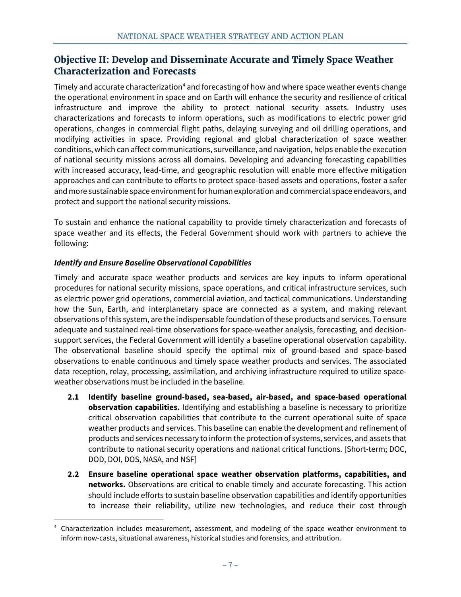## <span id="page-14-0"></span> **Objective II: Develop and Disseminate Accurate and Timely Space Weather Characterization and Forecasts**

 characterizations and forecasts to inform operations, such as modifications to electric power grid with increased accuracy, lead-time, and geographic resolution will enable more effective mitigation Timely and accurate characterization<sup>[4](#page-14-2)</sup> and forecasting of how and where space weather events change the operational environment in space and on Earth will enhance the security and resilience of critical infrastructure and improve the ability to protect national security assets. Industry uses operations, changes in commercial flight paths, delaying surveying and oil drilling operations, and modifying activities in space. Providing regional and global characterization of space weather conditions, which can affect communications, surveillance, and navigation, helps enable the execution of national security missions across all domains. Developing and advancing forecasting capabilities approaches and can contribute to efforts to protect space-based assets and operations, foster a safer and more sustainable space environment for human exploration and commercial space endeavors, and protect and support the national security missions.

To sustain and enhance the national capability to provide timely characterization and forecasts of space weather and its effects, the Federal Government should work with partners to achieve the following:

## <span id="page-14-1"></span>*Identify and Ensure Baseline Observational Capabilities*

**.** 

Timely and accurate space weather products and services are key inputs to inform operational procedures for national security missions, space operations, and critical infrastructure services, such as electric power grid operations, commercial aviation, and tactical communications. Understanding how the Sun, Earth, and interplanetary space are connected as a system, and making relevant observations of this system, are the indispensable foundation of these products and services. To ensure adequate and sustained real-time observations for space-weather analysis, forecasting, and decisionsupport services, the Federal Government will identify a baseline operational observation capability. The observational baseline should specify the optimal mix of ground-based and space-based observations to enable continuous and timely space weather products and services. The associated data reception, relay, processing, assimilation, and archiving infrastructure required to utilize spaceweather observations must be included in the baseline.

- **observation capabilities.** Identifying and establishing a baseline is necessary to prioritize products and services necessary to inform the protection of systems, services, and assets that DOD, DOI, DOS, NASA, and NSF] **2.1 Identify baseline ground-based, sea-based, air-based, and space-based operational**  critical observation capabilities that contribute to the current operational suite of space weather products and services. This baseline can enable the development and refinement of contribute to national security operations and national critical functions. [Short-term; DOC,
- **2.2 Ensure baseline operational space weather observation platforms, capabilities, and networks.** Observations are critical to enable timely and accurate forecasting. This action should include efforts to sustain baseline observation capabilities and identify opportunities to increase their reliability, utilize new technologies, and reduce their cost through

<span id="page-14-2"></span><sup>4</sup> Characterization includes measurement, assessment, and modeling of the space weather environment to inform now-casts, situational awareness, historical studies and forensics, and attribution.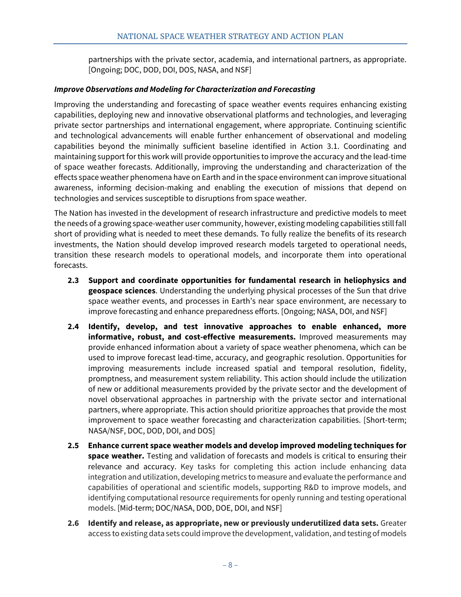partnerships with the private sector, academia, and international partners, as appropriate. [Ongoing; DOC, DOD, DOI, DOS, NASA, and NSF]

#### <span id="page-15-0"></span>*Improve Observations and Modeling for Characterization and Forecasting*

Improving the understanding and forecasting of space weather events requires enhancing existing capabilities, deploying new and innovative observational platforms and technologies, and leveraging private sector partnerships and international engagement, where appropriate. Continuing scientific and technological advancements will enable further enhancement of observational and modeling capabilities beyond the minimally sufficient baseline identified in Action 3.1. Coordinating and maintaining support for this work will provide opportunities to improve the accuracy and the lead-time of space weather forecasts. Additionally, improving the understanding and characterization of the effects space weather phenomena have on Earth and in the space environment can improve situational awareness, informing decision-making and enabling the execution of missions that depend on technologies and services susceptible to disruptions from space weather.

 short of providing what is needed to meet these demands. To fully realize the benefits of its research The Nation has invested in the development of research infrastructure and predictive models to meet the needs of a growing space-weather user community, however, existing modeling capabilities still fall investments, the Nation should develop improved research models targeted to operational needs, transition these research models to operational models, and incorporate them into operational forecasts.

- **2.3 Support and coordinate opportunities for fundamental research in heliophysics and geospace sciences**. Understanding the underlying physical processes of the Sun that drive space weather events, and processes in Earth's near space environment, are necessary to improve forecasting and enhance preparedness efforts. [Ongoing; NASA, DOI, and NSF]
- **informative, robust, and cost-effective measurements.** Improved measurements may **2.4 Identify, develop, and test innovative approaches to enable enhanced, more**  provide enhanced information about a variety of space weather phenomena, which can be used to improve forecast lead-time, accuracy, and geographic resolution. Opportunities for improving measurements include increased spatial and temporal resolution, fidelity, promptness, and measurement system reliability. This action should include the utilization of new or additional measurements provided by the private sector and the development of novel observational approaches in partnership with the private sector and international partners, where appropriate. This action should prioritize approaches that provide the most improvement to space weather forecasting and characterization capabilities. [Short-term; NASA/NSF, DOC, DOD, DOI, and DOS]
- **2.5 Enhance current space weather models and develop improved modeling techniques for space weather.** Testing and validation of forecasts and models is critical to ensuring their relevance and accuracy. Key tasks for completing this action include enhancing data integration and utilization, developing metrics to measure and evaluate the performance and capabilities of operational and scientific models, supporting R&D to improve models, and identifying computational resource requirements for openly running and testing operational models. [Mid-term; DOC/NASA, DOD, DOE, DOI, and NSF]
- **2.6 Identify and release, as appropriate, new or previously underutilized data sets.** Greater access to existing data sets could improve the development, validation, and testing of models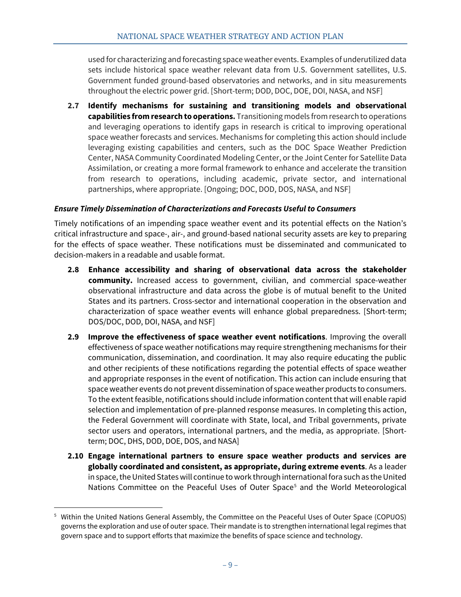used for characterizing and forecasting space weather events. Examples of underutilized data sets include historical space weather relevant data from U.S. Government satellites, U.S. Government funded ground-based observatories and networks, and in situ measurements throughout the electric power grid. [Short-term; DOD, DOC, DOE, DOI, NASA, and NSF]

 $\overline{a}$  Center, NASA Community Coordinated Modeling Center, or the Joint Center for Satellite Data **2.7 Identify mechanisms for sustaining and transitioning models and observational capabilities from research to operations.** Transitioning models from research to operations and leveraging operations to identify gaps in research is critical to improving operational space weather forecasts and services. Mechanisms for completing this action should include leveraging existing capabilities and centers, such as the DOC Space Weather Prediction Assimilation, or creating a more formal framework to enhance and accelerate the transition from research to operations, including academic, private sector, and international partnerships, where appropriate. [Ongoing; DOC, DOD, DOS, NASA, and NSF]

#### <span id="page-16-0"></span>*Ensure Timely Dissemination of Characterizations and Forecasts Useful to Consumers*

 Timely notifications of an impending space weather event and its potential effects on the Nation's for the effects of space weather. These notifications must be disseminated and communicated to decision-makers in a readable and usable format. critical infrastructure and space-, air-, and ground-based national security assets are key to preparing

- **2.8 Enhance accessibility and sharing of observational data across the stakeholder community.** Increased access to government, civilian, and commercial space-weather observational infrastructure and data across the globe is of mutual benefit to the United States and its partners. Cross-sector and international cooperation in the observation and characterization of space weather events will enhance global preparedness. [Short-term; DOS/DOC, DOD, DOI, NASA, and NSF]
- **2.9 Improve the effectiveness of space weather event notifications**. Improving the overall effectiveness of space weather notifications may require strengthening mechanisms for their communication, dissemination, and coordination. It may also require educating the public and other recipients of these notifications regarding the potential effects of space weather and appropriate responses in the event of notification. This action can include ensuring that space weather events do not prevent dissemination of space weather products to consumers. To the extent feasible, notifications should include information content that will enable rapid selection and implementation of pre-planned response measures. In completing this action, the Federal Government will coordinate with State, local, and Tribal governments, private sector users and operators, international partners, and the media, as appropriate. [Shortterm; DOC, DHS, DOD, DOE, DOS, and NASA]
- **2.10 Engage international partners to ensure space weather products and services are globally coordinated and consistent, as appropriate, during extreme events**. As a leader in space, the United States will continue to work through international fora such as the United Nations Committee on the Peaceful Uses of Outer Space<sup>[5](#page-16-1)</sup> and the World Meteorological

 $\overline{a}$ 

<span id="page-16-1"></span><sup>5</sup> Within the United Nations General Assembly, the Committee on the Peaceful Uses of Outer Space (COPUOS) governs the exploration and use of outer space. Their mandate is to strengthen international legal regimes that govern space and to support efforts that maximize the benefits of space science and technology.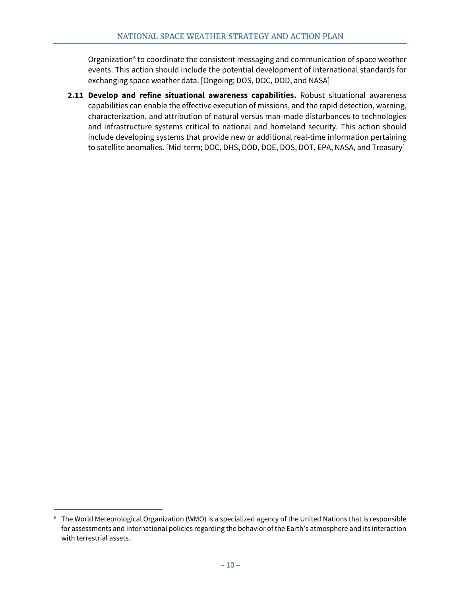Organization $6$  to coordinate the consistent messaging and communication of space weather events. This action should include the potential development of international standards for exchanging space weather data. [Ongoing; DOS, DOC, DOD, and NASA]

 and infrastructure systems critical to national and homeland security. This action should include developing systems that provide new or additional real-time information pertaining **2.11 Develop and refine situational awareness capabilities.** Robust situational awareness capabilities can enable the effective execution of missions, and the rapid detection, warning, characterization, and attribution of natural versus man-made disturbances to technologies to satellite anomalies. [Mid-term; DOC, DHS, DOD, DOE, DOS, DOT, EPA, NASA, and Treasury]

 $\overline{a}$ 

<span id="page-17-0"></span> $^6$  The World Meteorological Organization (WMO) is a specialized agency of the United Nations that is responsible for assessments and international policies regarding the behavior of the Earth's atmosphere and its interaction with terrestrial assets.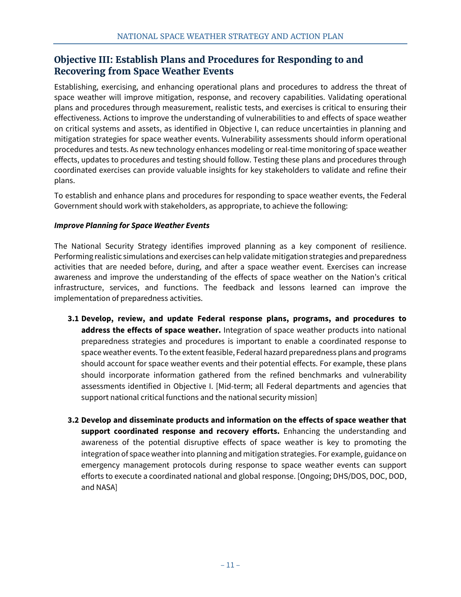# <span id="page-18-0"></span> **Objective III: Establish Plans and Procedures for Responding to and Recovering from Space Weather Events**

 plans and procedures through measurement, realistic tests, and exercises is critical to ensuring their on critical systems and assets, as identified in Objective I, can reduce uncertainties in planning and plans. Establishing, exercising, and enhancing operational plans and procedures to address the threat of space weather will improve mitigation, response, and recovery capabilities. Validating operational effectiveness. Actions to improve the understanding of vulnerabilities to and effects of space weather mitigation strategies for space weather events. Vulnerability assessments should inform operational procedures and tests. As new technology enhances modeling or real-time monitoring of space weather effects, updates to procedures and testing should follow. Testing these plans and procedures through coordinated exercises can provide valuable insights for key stakeholders to validate and refine their

plans.<br>To establish and enhance plans and procedures for responding to space weather events, the Federal Government should work with stakeholders, as appropriate, to achieve the following:

## <span id="page-18-1"></span>*Improve Planning for Space Weather Events*

The National Security Strategy identifies improved planning as a key component of resilience. Performing realistic simulations and exercises can help validate mitigation strategies and preparedness activities that are needed before, during, and after a space weather event. Exercises can increase awareness and improve the understanding of the effects of space weather on the Nation's critical infrastructure, services, and functions. The feedback and lessons learned can improve the implementation of preparedness activities.

- **address the effects of space weather.** Integration of space weather products into national **3.1 Develop, review, and update Federal response plans, programs, and procedures to**  preparedness strategies and procedures is important to enable a coordinated response to space weather events. To the extent feasible, Federal hazard preparedness plans and programs should account for space weather events and their potential effects. For example, these plans should incorporate information gathered from the refined benchmarks and vulnerability assessments identified in Objective I. [Mid-term; all Federal departments and agencies that support national critical functions and the national security mission]
- **3.2 Develop and disseminate products and information on the effects of space weather that support coordinated response and recovery efforts.** Enhancing the understanding and awareness of the potential disruptive effects of space weather is key to promoting the integration of space weather into planning and mitigation strategies. For example, guidance on emergency management protocols during response to space weather events can support efforts to execute a coordinated national and global response. [Ongoing; DHS/DOS, DOC, DOD, and NASA]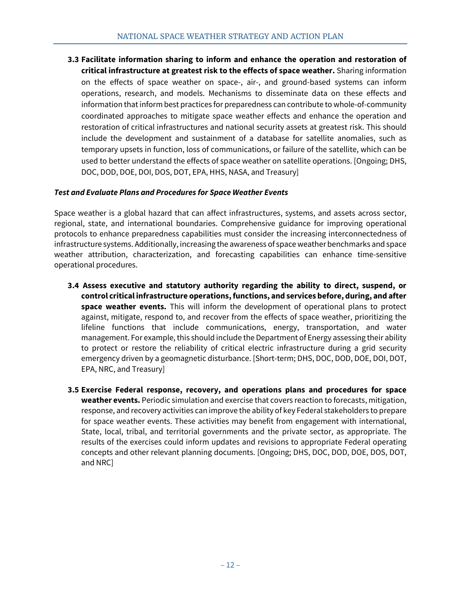temporary upsets in function, loss of communications, or failure of the satellite, which can be **3.3 Facilitate information sharing to inform and enhance the operation and restoration of critical infrastructure at greatest risk to the effects of space weather.** Sharing information on the effects of space weather on space-, air-, and ground-based systems can inform operations, research, and models. Mechanisms to disseminate data on these effects and information that inform best practices for preparedness can contribute to whole-of-community coordinated approaches to mitigate space weather effects and enhance the operation and restoration of critical infrastructures and national security assets at greatest risk. This should include the development and sustainment of a database for satellite anomalies, such as used to better understand the effects of space weather on satellite operations. [Ongoing; DHS, DOC, DOD, DOE, DOI, DOS, DOT, EPA, HHS, NASA, and Treasury]

### <span id="page-19-0"></span>*Test and Evaluate Plans and Procedures for Space Weather Events*

Space weather is a global hazard that can affect infrastructures, systems, and assets across sector, regional, state, and international boundaries. Comprehensive guidance for improving operational protocols to enhance preparedness capabilities must consider the increasing interconnectedness of infrastructure systems. Additionally, increasing the awareness of space weather benchmarks and space weather attribution, characterization, and forecasting capabilities can enhance time-sensitive operational procedures.

- **space weather events.** This will inform the development of operational plans to protect **3.4 Assess executive and statutory authority regarding the ability to direct, suspend, or control critical infrastructure operations, functions, and services before, during, and after**  against, mitigate, respond to, and recover from the effects of space weather, prioritizing the lifeline functions that include communications, energy, transportation, and water management. For example, this should include the Department of Energy assessing their ability to protect or restore the reliability of critical electric infrastructure during a grid security emergency driven by a geomagnetic disturbance. [Short-term; DHS, DOC, DOD, DOE, DOI, DOT, EPA, NRC, and Treasury]
- concepts and other relevant planning documents. [Ongoing; DHS, DOC, DOD, DOE, DOS, DOT, **3.5 Exercise Federal response, recovery, and operations plans and procedures for space weather events.** Periodic simulation and exercise that covers reaction to forecasts, mitigation, response, and recovery activities can improve the ability of key Federal stakeholders to prepare for space weather events. These activities may benefit from engagement with international, State, local, tribal, and territorial governments and the private sector, as appropriate. The results of the exercises could inform updates and revisions to appropriate Federal operating and NRC]